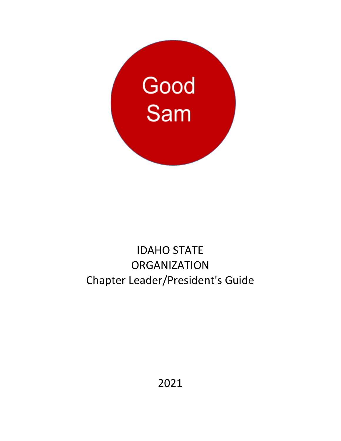

# IDAHO STATE **ORGANIZATION** Chapter Leader/President's Guide

2021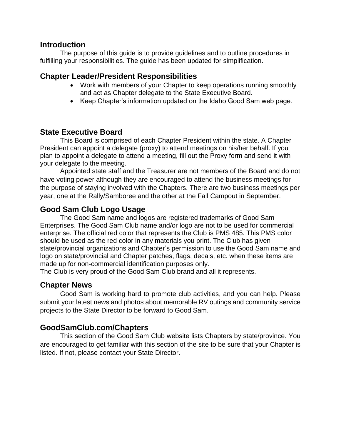#### **Introduction**

The purpose of this guide is to provide guidelines and to outline procedures in fulfilling your responsibilities. The guide has been updated for simplification.

#### **Chapter Leader/President Responsibilities**

- Work with members of your Chapter to keep operations running smoothly and act as Chapter delegate to the State Executive Board.
- Keep Chapter's information updated on the Idaho Good Sam web page.

## **State Executive Board**

This Board is comprised of each Chapter President within the state. A Chapter President can appoint a delegate (proxy) to attend meetings on his/her behalf. If you plan to appoint a delegate to attend a meeting, fill out the Proxy form and send it with your delegate to the meeting.

Appointed state staff and the Treasurer are not members of the Board and do not have voting power although they are encouraged to attend the business meetings for the purpose of staying involved with the Chapters. There are two business meetings per year, one at the Rally/Samboree and the other at the Fall Campout in September.

## **Good Sam Club Logo Usage**

The Good Sam name and logos are registered trademarks of Good Sam Enterprises. The Good Sam Club name and/or logo are not to be used for commercial enterprise. The official red color that represents the Club is PMS 485. This PMS color should be used as the red color in any materials you print. The Club has given state/provincial organizations and Chapter's permission to use the Good Sam name and logo on state/provincial and Chapter patches, flags, decals, etc. when these items are made up for non-commercial identification purposes only.

The Club is very proud of the Good Sam Club brand and all it represents.

## **Chapter News**

Good Sam is working hard to promote club activities, and you can help. Please submit your latest news and photos about memorable RV outings and community service projects to the State Director to be forward to Good Sam.

## **GoodSamClub.com/Chapters**

This section of the Good Sam Club website lists Chapters by state/province. You are encouraged to get familiar with this section of the site to be sure that your Chapter is listed. If not, please contact your State Director.